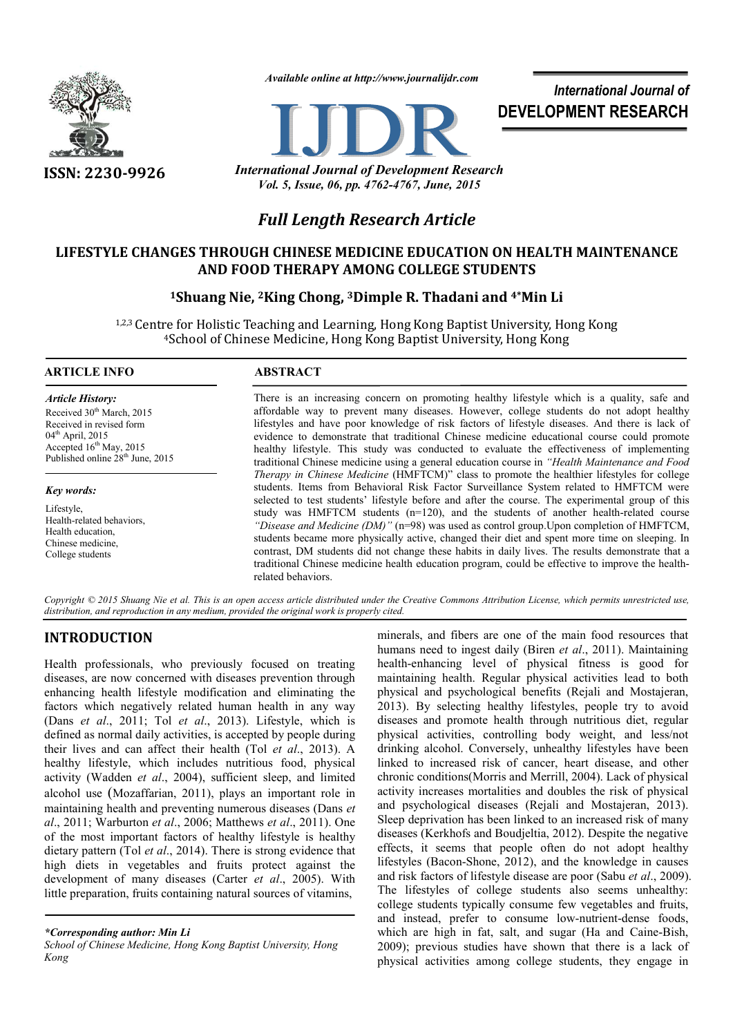

*Available online at http://www.journalijdr.com*



*International Journal of* **DEVELOPMENT RESEARCH**

**ISSN: 2230-9926** *International Journal of Development Research Vol. 5, Issue, 06, pp. 4762-4767, June, 2015*

# *Full Length Research Article*

# **LIFESTYLE CHANGES THROUGH CHINESE MEDICINE EDUCATION ON HEALTH MAINTENANCE AND FOOD THERAPY AMONG COLLEGE STUDENTS**

# **1Shuang Nie, 2King Chong, 3Dimple R. Thadani and 4\*Min Li**

1,2,3 Centre for Holistic Teaching and Learning, Hong Kong Baptist University, Hong Kong 4School of Chinese Medicine, Hong Kong Baptist University, Hong Kong

# **ARTICLE INFO ABSTRACT**

*Article History:* Received 30<sup>th</sup> March, 2015 Received in revised form 04<sup>th</sup> April, 2015 Accepted 16<sup>th</sup> May, 2015 Published online 28<sup>th</sup> June, 2015

## *Key words:*

Lifestyle, Health-related behaviors, Health education, Chinese medicine, College students

There is an increasing concern on promoting healthy lifestyle which is a quality, safe and affordable way to prevent many diseases. However, college students do not adopt healthy lifestyles and have poor knowledge of risk factors of lifestyle diseases. And there is lack of evidence to demonstrate that traditional Chinese medicine educational course could promote healthy lifestyle. This study was conducted to evaluate the effectiveness of implementing traditional Chinese medicine using a general education course in *"Health Maintenance and Food Therapy in Chinese Medicine* (HMFTCM)" class to promote the healthier lifestyles for college students. Items from Behavioral Risk Factor Surveillance System related to HMFTCM were selected to test students' lifestyle before and after the course. The experimental group of this study was HMFTCM students (n=120), and the students of another health-related course *"Disease and Medicine (DM)"* (n=98) was used as control group.Upon completion of HMFTCM, students became more physically active, changed their diet and spent more time on sleeping. In contrast, DM students did not change these habits in daily lives. The results demonstrate that a traditional Chinese medicine health education program, could be effective to improve the healthrelated behaviors.

*Copyright © 2015 Shuang Nie et al. This is an open access article distributed under the Creative Commons Attribution License, which permits unrestricted use, distribution, and reproduction in any medium, provided the original work is properly cited.*

# **INTRODUCTION**

Health professionals, who previously focused on treating diseases, are now concerned with diseases prevention through enhancing health lifestyle modification and eliminating the factors which negatively related human health in any way (Dans *et al*., 2011; Tol *et al*., 2013). Lifestyle, which is defined as normal daily activities, is accepted by people during their lives and can affect their health (Tol *et al*., 2013). A healthy lifestyle, which includes nutritious food, physical activity (Wadden *et al*., 2004), sufficient sleep, and limited alcohol use (Mozaffarian, 2011), plays an important role in maintaining health and preventing numerous diseases (Dans *et al*., 2011; Warburton *et al*., 2006; Matthews *et al*., 2011). One of the most important factors of healthy lifestyle is healthy dietary pattern (Tol *et al*., 2014). There is strong evidence that high diets in vegetables and fruits protect against the development of many diseases (Carter *et al*., 2005). With little preparation, fruits containing natural sources of vitamins,

*\*Corresponding author: Min Li*

*School of Chinese Medicine, Hong Kong Baptist University, Hong Kong* 

minerals, and fibers are one of the main food resources that humans need to ingest daily (Biren *et al*., 2011). Maintaining health-enhancing level of physical fitness is good for maintaining health. Regular physical activities lead to both physical and psychological benefits (Rejali and Mostajeran, 2013). By selecting healthy lifestyles, people try to avoid diseases and promote health through nutritious diet, regular physical activities, controlling body weight, and less/not drinking alcohol. Conversely, unhealthy lifestyles have been linked to increased risk of cancer, heart disease, and other chronic conditions(Morris and Merrill, 2004). Lack of physical activity increases mortalities and doubles the risk of physical and psychological diseases (Rejali and Mostajeran, 2013). Sleep deprivation has been linked to an increased risk of many diseases (Kerkhofs and Boudjeltia, 2012). Despite the negative effects, it seems that people often do not adopt healthy lifestyles (Bacon-Shone, 2012), and the knowledge in causes and risk factors of lifestyle disease are poor (Sabu *et al*., 2009). The lifestyles of college students also seems unhealthy: college students typically consume few vegetables and fruits, and instead, prefer to consume low-nutrient-dense foods, which are high in fat, salt, and sugar (Ha and Caine-Bish, 2009); previous studies have shown that there is a lack of physical activities among college students, they engage in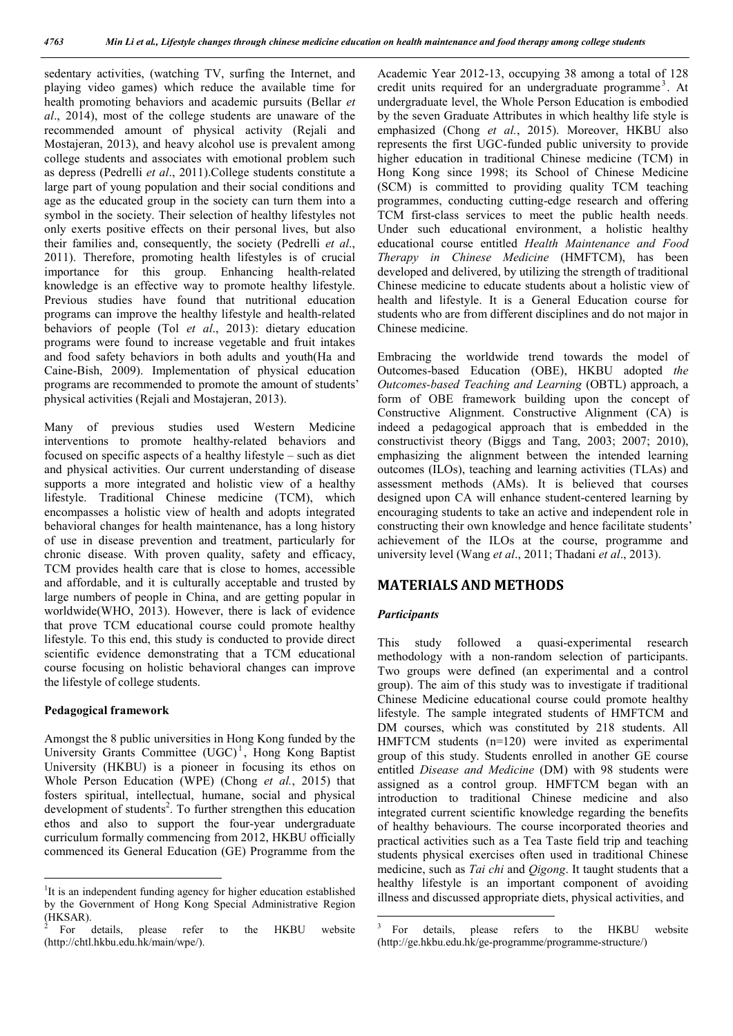sedentary activities, (watching TV, surfing the Internet, and playing video games) which reduce the available time for health promoting behaviors and academic pursuits (Bellar *et al*., 2014), most of the college students are unaware of the recommended amount of physical activity (Rejali and Mostajeran, 2013), and heavy alcohol use is prevalent among college students and associates with emotional problem such as depress (Pedrelli *et al*., 2011).College students constitute a large part of young population and their social conditions and age as the educated group in the society can turn them into a symbol in the society. Their selection of healthy lifestyles not only exerts positive effects on their personal lives, but also their families and, consequently, the society (Pedrelli *et al*., 2011). Therefore, promoting health lifestyles is of crucial importance for this group. Enhancing health-related knowledge is an effective way to promote healthy lifestyle. Previous studies have found that nutritional education programs can improve the healthy lifestyle and health-related behaviors of people (Tol *et al*., 2013): dietary education programs were found to increase vegetable and fruit intakes and food safety behaviors in both adults and youth(Ha and Caine-Bish, 2009). Implementation of physical education programs are recommended to promote the amount of students' physical activities (Rejali and Mostajeran, 2013).

Many of previous studies used Western Medicine interventions to promote healthy-related behaviors and focused on specific aspects of a healthy lifestyle – such as diet and physical activities. Our current understanding of disease supports a more integrated and holistic view of a healthy lifestyle. Traditional Chinese medicine (TCM), which encompasses a holistic view of health and adopts integrated behavioral changes for health maintenance, has a long history of use in disease prevention and treatment, particularly for chronic disease. With proven quality, safety and efficacy, TCM provides health care that is close to homes, accessible and affordable, and it is culturally acceptable and trusted by large numbers of people in China, and are getting popular in worldwide(WHO, 2013). However, there is lack of evidence that prove TCM educational course could promote healthy lifestyle. To this end, this study is conducted to provide direct scientific evidence demonstrating that a TCM educational course focusing on holistic behavioral changes can improve the lifestyle of college students.

### **Pedagogical framework**

Amongst the 8 public universities in Hong Kong funded by the University Grants Committee  $(UGC)^1$ , Hong Kong Baptist University (HKBU) is a pioneer in focusing its ethos on Whole Person Education (WPE) (Chong *et al.*, 2015) that fosters spiritual, intellectual, humane, social and physical development of students<sup>2</sup>. To further strengthen this education ethos and also to support the four-year undergraduate curriculum formally commencing from 2012, HKBU officially commenced its General Education (GE) Programme from the

Academic Year 2012-13, occupying 38 among a total of 128 credit units required for an undergraduate programme<sup>3</sup>. At undergraduate level, the Whole Person Education is embodied by the seven Graduate Attributes in which healthy life style is emphasized (Chong *et al.*, 2015). Moreover, HKBU also represents the first UGC-funded public university to provide higher education in traditional Chinese medicine (TCM) in Hong Kong since 1998; its School of Chinese Medicine (SCM) is committed to providing quality TCM teaching programmes, conducting cutting-edge research and offering TCM first-class services to meet the public health needs. Under such educational environment, a holistic healthy educational course entitled *Health Maintenance and Food Therapy in Chinese Medicine* (HMFTCM), has been developed and delivered, by utilizing the strength of traditional Chinese medicine to educate students about a holistic view of health and lifestyle. It is a General Education course for students who are from different disciplines and do not major in Chinese medicine.

Embracing the worldwide trend towards the model of Outcomes-based Education (OBE), HKBU adopted *the Outcomes-based Teaching and Learning* (OBTL) approach, a form of OBE framework building upon the concept of Constructive Alignment. Constructive Alignment (CA) is indeed a pedagogical approach that is embedded in the constructivist theory (Biggs and Tang, 2003; 2007; 2010), emphasizing the alignment between the intended learning outcomes (ILOs), teaching and learning activities (TLAs) and assessment methods (AMs). It is believed that courses designed upon CA will enhance student-centered learning by encouraging students to take an active and independent role in constructing their own knowledge and hence facilitate students' achievement of the ILOs at the course, programme and university level (Wang *et al*., 2011; Thadani *et al*., 2013).

# **MATERIALS AND METHODS**

# *Participants*

This study followed a quasi-experimental research methodology with a non-random selection of participants. Two groups were defined (an experimental and a control group). The aim of this study was to investigate if traditional Chinese Medicine educational course could promote healthy lifestyle. The sample integrated students of HMFTCM and DM courses, which was constituted by 218 students. All HMFTCM students (n=120) were invited as experimental group of this study. Students enrolled in another GE course entitled *Disease and Medicine* (DM) with 98 students were assigned as a control group. HMFTCM began with an introduction to traditional Chinese medicine and also integrated current scientific knowledge regarding the benefits of healthy behaviours. The course incorporated theories and practical activities such as a Tea Taste field trip and teaching students physical exercises often used in traditional Chinese medicine, such as *Tai chi* and *Qigong*. It taught students that a healthy lifestyle is an important component of avoiding illness and discussed appropriate diets, physical activities, and

 $\frac{1}{1}$ <sup>1</sup>It is an independent funding agency for higher education established by the Government of Hong Kong Special Administrative Region (HKSAR).<br> $\frac{2}{3}$  For details, please refer to the HKBU website

<sup>(</sup>http://chtl.hkbu.edu.hk/main/wpe/).

<sup>&</sup>lt;sup>3</sup> For details, please refers to the HKBU website (http://ge.hkbu.edu.hk/ge-programme/programme-structure/)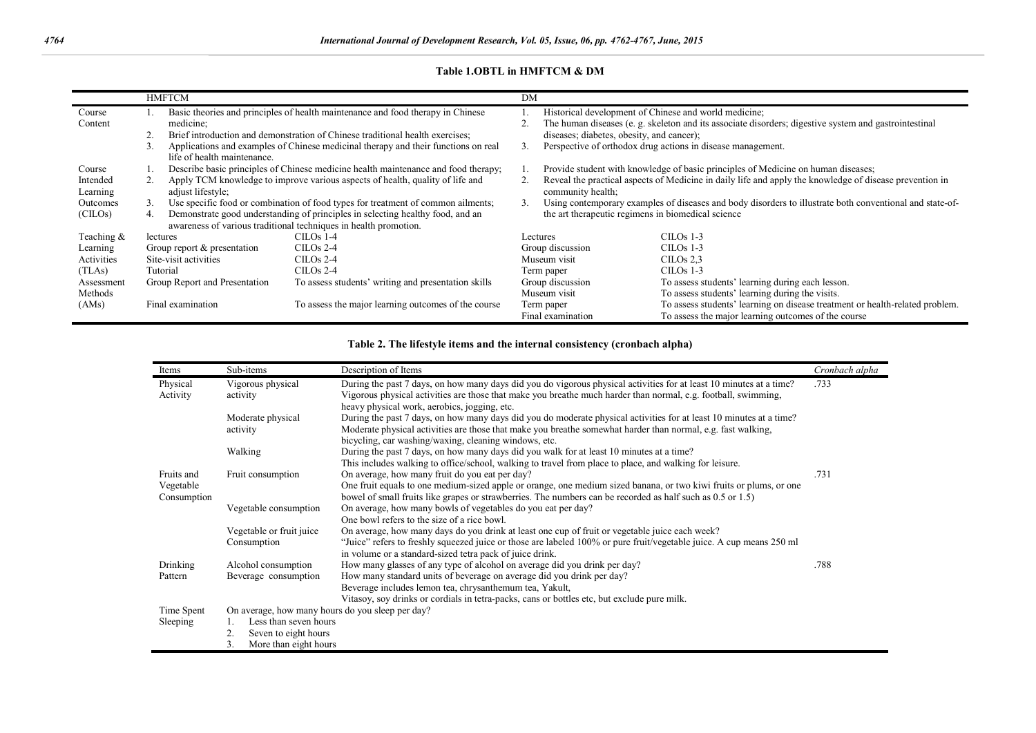# **Table 1.OBTL in HMFTCM & DM**

|            |          | <b>HMFTCM</b>                                                                      |                                                                                    | DM |                                                                                                          |                                                                              |  |  |
|------------|----------|------------------------------------------------------------------------------------|------------------------------------------------------------------------------------|----|----------------------------------------------------------------------------------------------------------|------------------------------------------------------------------------------|--|--|
| Course     |          | Basic theories and principles of health maintenance and food therapy in Chinese    |                                                                                    |    | Historical development of Chinese and world medicine;                                                    |                                                                              |  |  |
| Content    |          | medicine;                                                                          |                                                                                    |    | The human diseases (e.g. skeleton and its associate disorders; digestive system and gastrointestinal     |                                                                              |  |  |
|            |          |                                                                                    | Brief introduction and demonstration of Chinese traditional health exercises;      |    | diseases; diabetes, obesity, and cancer);                                                                |                                                                              |  |  |
|            | 3.       |                                                                                    | Applications and examples of Chinese medicinal therapy and their functions on real |    | Perspective of orthodox drug actions in disease management.                                              |                                                                              |  |  |
|            |          | life of health maintenance.                                                        |                                                                                    |    |                                                                                                          |                                                                              |  |  |
| Course     |          | Describe basic principles of Chinese medicine health maintenance and food therapy; |                                                                                    |    | Provide student with knowledge of basic principles of Medicine on human diseases;                        |                                                                              |  |  |
| Intended   |          | Apply TCM knowledge to improve various aspects of health, quality of life and      |                                                                                    |    | Reveal the practical aspects of Medicine in daily life and apply the knowledge of disease prevention in  |                                                                              |  |  |
| Learning   |          | adjust lifestyle;                                                                  |                                                                                    |    | community health;                                                                                        |                                                                              |  |  |
| Outcomes   | 3.       | Use specific food or combination of food types for treatment of common ailments;   |                                                                                    |    | Using contemporary examples of diseases and body disorders to illustrate both conventional and state-of- |                                                                              |  |  |
| (CHOs)     | 4.       |                                                                                    | Demonstrate good understanding of principles in selecting healthy food, and an     |    | the art therapeutic regimens in biomedical science                                                       |                                                                              |  |  |
|            |          |                                                                                    | awareness of various traditional techniques in health promotion.                   |    |                                                                                                          |                                                                              |  |  |
| Teaching & | lectures |                                                                                    | CILOs 1-4                                                                          |    | Lectures                                                                                                 | $CILOS$ 1-3                                                                  |  |  |
| Learning   |          | Group report & presentation                                                        | CILOs 2-4                                                                          |    | Group discussion                                                                                         | $CILOS$ 1-3                                                                  |  |  |
| Activities |          | Site-visit activities                                                              | $CILOS 2-4$                                                                        |    | Museum visit                                                                                             | CILOs $2.3$                                                                  |  |  |
| (TLAs)     |          | Tutorial                                                                           | $CILOS 2-4$                                                                        |    | Term paper                                                                                               | CILO <sub>s</sub> 1-3                                                        |  |  |
| Assessment |          | Group Report and Presentation                                                      | To assess students' writing and presentation skills                                |    | Group discussion                                                                                         | To assess students' learning during each lesson.                             |  |  |
| Methods    |          |                                                                                    |                                                                                    |    | Museum visit                                                                                             | To assess students' learning during the visits.                              |  |  |
| (AMS)      |          | Final examination                                                                  | To assess the major learning outcomes of the course                                |    | Term paper                                                                                               | To assess students' learning on disease treatment or health-related problem. |  |  |
|            |          |                                                                                    |                                                                                    |    | Final examination                                                                                        | To assess the major learning outcomes of the course                          |  |  |

| Table 2. The lifestyle items and the internal consistency (cronbach alpha) |  |  |
|----------------------------------------------------------------------------|--|--|
|                                                                            |  |  |

| Items       | Sub-items                                        | Description of Items                                                                                                 | Cronbach alpha |  |  |
|-------------|--------------------------------------------------|----------------------------------------------------------------------------------------------------------------------|----------------|--|--|
| Physical    | Vigorous physical                                | During the past 7 days, on how many days did you do vigorous physical activities for at least 10 minutes at a time?  |                |  |  |
| Activity    | activity                                         | Vigorous physical activities are those that make you breathe much harder than normal, e.g. football, swimming,       |                |  |  |
|             |                                                  | heavy physical work, aerobics, jogging, etc.                                                                         |                |  |  |
|             | Moderate physical                                | During the past 7 days, on how many days did you do moderate physical activities for at least 10 minutes at a time?  |                |  |  |
|             | activity                                         | Moderate physical activities are those that make you breathe somewhat harder than normal, e.g. fast walking,         |                |  |  |
|             |                                                  | bicycling, car washing/waxing, cleaning windows, etc.                                                                |                |  |  |
|             | Walking                                          | During the past 7 days, on how many days did you walk for at least 10 minutes at a time?                             |                |  |  |
|             |                                                  | This includes walking to office/school, walking to travel from place to place, and walking for leisure.              |                |  |  |
| Fruits and  | Fruit consumption                                | On average, how many fruit do you eat per day?                                                                       | .731           |  |  |
| Vegetable   |                                                  | One fruit equals to one medium-sized apple or orange, one medium sized banana, or two kiwi fruits or plums, or one   |                |  |  |
| Consumption |                                                  | bowel of small fruits like grapes or strawberries. The numbers can be recorded as half such as 0.5 or 1.5)           |                |  |  |
|             | Vegetable consumption                            | On average, how many bowls of vegetables do you eat per day?                                                         |                |  |  |
|             |                                                  | One bowl refers to the size of a rice bowl.                                                                          |                |  |  |
|             | Vegetable or fruit juice                         | On average, how many days do you drink at least one cup of fruit or vegetable juice each week?                       |                |  |  |
|             | Consumption                                      | "Juice" refers to freshly squeezed juice or those are labeled 100% or pure fruit/vegetable juice. A cup means 250 ml |                |  |  |
|             |                                                  | in volume or a standard-sized tetra pack of juice drink.                                                             |                |  |  |
| Drinking    | Alcohol consumption                              | How many glasses of any type of alcohol on average did you drink per day?                                            | .788           |  |  |
| Pattern     | Beverage consumption                             | How many standard units of beverage on average did you drink per day?                                                |                |  |  |
|             |                                                  | Beverage includes lemon tea, chrysanthemum tea, Yakult,                                                              |                |  |  |
|             |                                                  | Vitasoy, soy drinks or cordials in tetra-packs, cans or bottles etc, but exclude pure milk.                          |                |  |  |
| Time Spent  | On average, how many hours do you sleep per day? |                                                                                                                      |                |  |  |
| Sleeping    | Less than seven hours                            |                                                                                                                      |                |  |  |
|             | Seven to eight hours<br>2.                       |                                                                                                                      |                |  |  |
|             | 3.<br>More than eight hours                      |                                                                                                                      |                |  |  |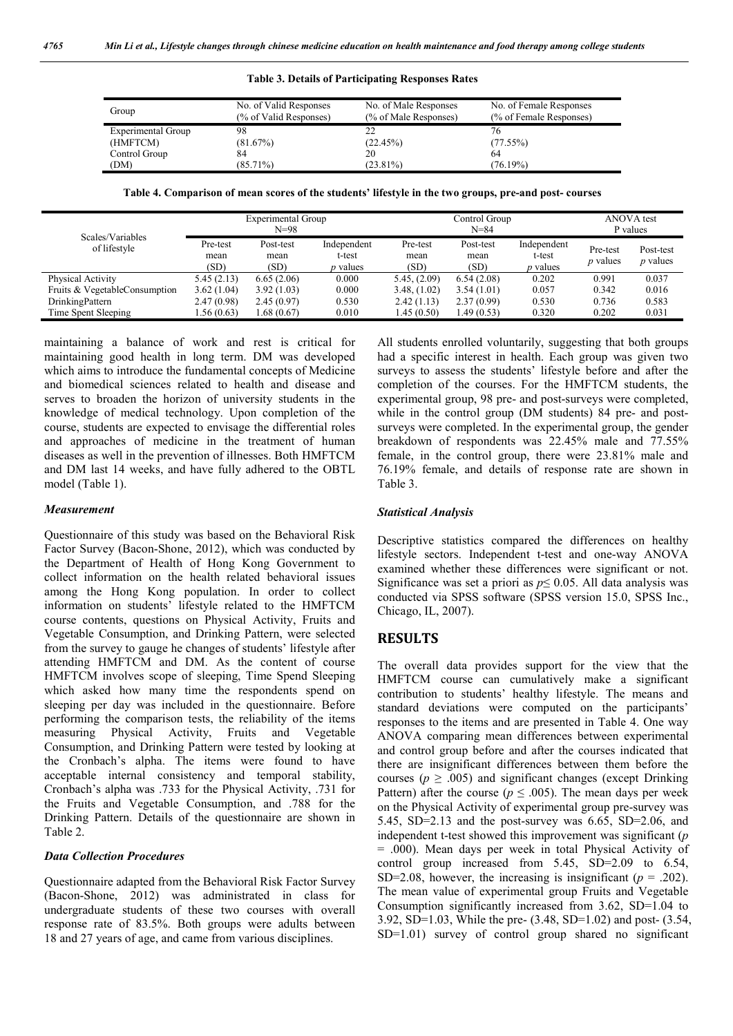#### **Table 3. Details of Participating Responses Rates**

| Group              | No. of Valid Responses<br>(% of Valid Responses) | No. of Male Responses<br>(% of Male Responses) | No. of Female Responses<br>(% of Female Responses) |  |
|--------------------|--------------------------------------------------|------------------------------------------------|----------------------------------------------------|--|
| Experimental Group | 98                                               | 22                                             | 76                                                 |  |
| (HMFTCM)           | (81.67%)                                         | (22.45%)                                       | (77.55%)                                           |  |
| Control Group      | 84                                               | 20                                             | 64                                                 |  |
| (DM)               | $(85.71\%)$                                      | $(23.81\%)$                                    | $(76.19\%)$                                        |  |

| Table 4. Comparison of mean scores of the students' lifestyle in the two groups, pre-and post-courses |  |
|-------------------------------------------------------------------------------------------------------|--|
|-------------------------------------------------------------------------------------------------------|--|

|                               | <b>Experimental Group</b> |             |                 | Control Group |            |                 | <b>ANOVA</b> test |            |
|-------------------------------|---------------------------|-------------|-----------------|---------------|------------|-----------------|-------------------|------------|
| Scales/Variables              |                           | $N = 98$    |                 |               | $N = 84$   |                 |                   | P values   |
| of lifestyle                  | Pre-test                  | Post-test   | Independent     | Pre-test      | Post-test  | Independent     | Pre-test          | Post-test  |
|                               | mean                      | mean        | t-test          | mean          | mean       | t-test          | <i>p</i> values   | $p$ values |
|                               | (SD)                      | (SD)        | <i>p</i> values | (SD)          | (SD)       | <i>p</i> values |                   |            |
| Physical Activity             | 5.45(2.13)                | 6.65(2.06)  | 0.000           | 5.45, (2.09)  | 6.54(2.08) | 0.202           | 0.991             | 0.037      |
| Fruits & VegetableConsumption | 3.62(1.04)                | 3.92(1.03)  | 0.000           | 3.48, (1.02)  | 3.54(1.01) | 0.057           | 0.342             | 0.016      |
| DrinkingPattern               | 2.47(0.98)                | 2.45(0.97)  | 0.530           | 2.42(1.13)    | 2.37(0.99) | 0.530           | 0.736             | 0.583      |
| Time Spent Sleeping           | 1.56(0.63)                | 1.68 (0.67) | 0.010           | 1.45 (0.50)   | 1.49(0.53) | 0.320           | 0.202             | 0.031      |

maintaining a balance of work and rest is critical for maintaining good health in long term. DM was developed which aims to introduce the fundamental concepts of Medicine and biomedical sciences related to health and disease and serves to broaden the horizon of university students in the knowledge of medical technology. Upon completion of the course, students are expected to envisage the differential roles and approaches of medicine in the treatment of human diseases as well in the prevention of illnesses. Both HMFTCM and DM last 14 weeks, and have fully adhered to the OBTL model (Table 1).

#### *Measurement*

Questionnaire of this study was based on the Behavioral Risk Factor Survey (Bacon-Shone, 2012), which was conducted by the Department of Health of Hong Kong Government to collect information on the health related behavioral issues among the Hong Kong population. In order to collect information on students' lifestyle related to the HMFTCM course contents, questions on Physical Activity, Fruits and Vegetable Consumption, and Drinking Pattern, were selected from the survey to gauge he changes of students' lifestyle after attending HMFTCM and DM. As the content of course HMFTCM involves scope of sleeping, Time Spend Sleeping which asked how many time the respondents spend on sleeping per day was included in the questionnaire. Before performing the comparison tests, the reliability of the items measuring Physical Activity, Fruits and Vegetable Consumption, and Drinking Pattern were tested by looking at the Cronbach's alpha. The items were found to have acceptable internal consistency and temporal stability, Cronbach's alpha was .733 for the Physical Activity, .731 for the Fruits and Vegetable Consumption, and .788 for the Drinking Pattern. Details of the questionnaire are shown in Table 2.

### *Data Collection Procedures*

Questionnaire adapted from the Behavioral Risk Factor Survey (Bacon-Shone, 2012) was administrated in class for undergraduate students of these two courses with overall response rate of 83.5%. Both groups were adults between 18 and 27 years of age, and came from various disciplines.

All students enrolled voluntarily, suggesting that both groups had a specific interest in health. Each group was given two surveys to assess the students' lifestyle before and after the completion of the courses. For the HMFTCM students, the experimental group, 98 pre- and post-surveys were completed, while in the control group (DM students) 84 pre- and postsurveys were completed. In the experimental group, the gender breakdown of respondents was 22.45% male and 77.55% female, in the control group, there were 23.81% male and 76.19% female, and details of response rate are shown in Table 3.

#### *Statistical Analysis*

Descriptive statistics compared the differences on healthy lifestyle sectors. Independent t-test and one-way ANOVA examined whether these differences were significant or not. Significance was set a priori as *p*≤ 0.05. All data analysis was conducted via SPSS software (SPSS version 15.0, SPSS Inc., Chicago, IL, 2007).

# **RESULTS**

The overall data provides support for the view that the HMFTCM course can cumulatively make a significant contribution to students' healthy lifestyle. The means and standard deviations were computed on the participants' responses to the items and are presented in Table 4. One way ANOVA comparing mean differences between experimental and control group before and after the courses indicated that there are insignificant differences between them before the courses ( $p \geq .005$ ) and significant changes (except Drinking Pattern) after the course ( $p \leq .005$ ). The mean days per week on the Physical Activity of experimental group pre-survey was 5.45, SD=2.13 and the post-survey was 6.65, SD=2.06, and independent t-test showed this improvement was significant (*p* = .000). Mean days per week in total Physical Activity of control group increased from 5.45, SD=2.09 to 6.54, SD=2.08, however, the increasing is insignificant  $(p = .202)$ . The mean value of experimental group Fruits and Vegetable Consumption significantly increased from 3.62, SD=1.04 to 3.92, SD=1.03, While the pre- (3.48, SD=1.02) and post- (3.54, SD=1.01) survey of control group shared no significant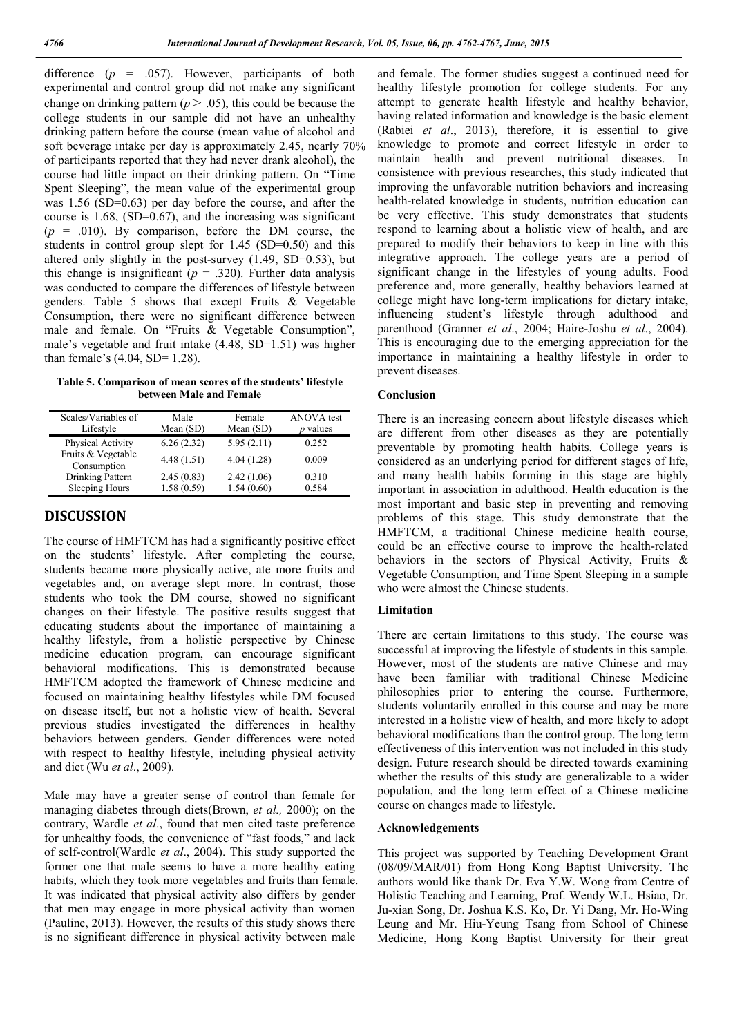difference (*p* = .057). However, participants of both experimental and control group did not make any significant change on drinking pattern  $(p > .05)$ , this could be because the college students in our sample did not have an unhealthy drinking pattern before the course (mean value of alcohol and soft beverage intake per day is approximately 2.45, nearly 70% of participants reported that they had never drank alcohol), the course had little impact on their drinking pattern. On "Time Spent Sleeping", the mean value of the experimental group was 1.56 (SD=0.63) per day before the course, and after the course is 1.68, (SD=0.67), and the increasing was significant  $(p = .010)$ . By comparison, before the DM course, the students in control group slept for 1.45 (SD=0.50) and this altered only slightly in the post-survey  $(1.49, SD=0.53)$ , but this change is insignificant ( $p = .320$ ). Further data analysis was conducted to compare the differences of lifestyle between genders. Table 5 shows that except Fruits  $\&$  Vegetable Consumption, there were no significant difference between male and female. On "Fruits & Vegetable Consumption", male's vegetable and fruit intake (4.48, SD=1.51) was higher than female's  $(4.04, SD= 1.28)$ .

**Table 5. Comparison of mean scores of the students' lifestyle between Male and Female**

| Scales/Variables of               | Male        | Female      | <b>ANOVA</b> test |
|-----------------------------------|-------------|-------------|-------------------|
| Lifestyle                         | Mean $(SD)$ | Mean $(SD)$ | <i>p</i> values   |
| Physical Activity                 | 6.26(2.32)  | 5.95(2.11)  | 0.252             |
| Fruits & Vegetable<br>Consumption | 4.48(1.51)  | 4.04(1.28)  | 0.009             |
| Drinking Pattern                  | 2.45(0.83)  | 2.42(1.06)  | 0.310             |
| Sleeping Hours                    | 1.58(0.59)  | 1.54(0.60)  | 0.584             |

### **DISCUSSION**

The course of HMFTCM has had a significantly positive effect on the students' lifestyle. After completing the course, students became more physically active, ate more fruits and vegetables and, on average slept more. In contrast, those students who took the DM course, showed no significant changes on their lifestyle. The positive results suggest that educating students about the importance of maintaining a healthy lifestyle, from a holistic perspective by Chinese medicine education program, can encourage significant behavioral modifications. This is demonstrated because HMFTCM adopted the framework of Chinese medicine and focused on maintaining healthy lifestyles while DM focused on disease itself, but not a holistic view of health. Several previous studies investigated the differences in healthy behaviors between genders. Gender differences were noted with respect to healthy lifestyle, including physical activity and diet (Wu *et al*., 2009).

Male may have a greater sense of control than female for managing diabetes through diets(Brown, *et al.,* 2000); on the contrary, Wardle *et al*., found that men cited taste preference for unhealthy foods, the convenience of "fast foods," and lack of self-control(Wardle *et al*., 2004). This study supported the former one that male seems to have a more healthy eating habits, which they took more vegetables and fruits than female. It was indicated that physical activity also differs by gender that men may engage in more physical activity than women (Pauline, 2013). However, the results of this study shows there is no significant difference in physical activity between male

and female. The former studies suggest a continued need for healthy lifestyle promotion for college students. For any attempt to generate health lifestyle and healthy behavior, having related information and knowledge is the basic element (Rabiei *et al*., 2013), therefore, it is essential to give knowledge to promote and correct lifestyle in order to maintain health and prevent nutritional diseases. In consistence with previous researches, this study indicated that improving the unfavorable nutrition behaviors and increasing health-related knowledge in students, nutrition education can be very effective. This study demonstrates that students respond to learning about a holistic view of health, and are prepared to modify their behaviors to keep in line with this integrative approach. The college years are a period of significant change in the lifestyles of young adults. Food preference and, more generally, healthy behaviors learned at college might have long-term implications for dietary intake, influencing student's lifestyle through adulthood and parenthood (Granner *et al*., 2004; Haire-Joshu *et al*., 2004). This is encouraging due to the emerging appreciation for the importance in maintaining a healthy lifestyle in order to prevent diseases.

#### **Conclusion**

There is an increasing concern about lifestyle diseases which are different from other diseases as they are potentially preventable by promoting health habits. College years is considered as an underlying period for different stages of life, and many health habits forming in this stage are highly important in association in adulthood. Health education is the most important and basic step in preventing and removing problems of this stage. This study demonstrate that the HMFTCM, a traditional Chinese medicine health course, could be an effective course to improve the health-related behaviors in the sectors of Physical Activity, Fruits & Vegetable Consumption, and Time Spent Sleeping in a sample who were almost the Chinese students.

### **Limitation**

There are certain limitations to this study. The course was successful at improving the lifestyle of students in this sample. However, most of the students are native Chinese and may have been familiar with traditional Chinese Medicine philosophies prior to entering the course. Furthermore, students voluntarily enrolled in this course and may be more interested in a holistic view of health, and more likely to adopt behavioral modifications than the control group. The long term effectiveness of this intervention was not included in this study design. Future research should be directed towards examining whether the results of this study are generalizable to a wider population, and the long term effect of a Chinese medicine course on changes made to lifestyle.

#### **Acknowledgements**

This project was supported by Teaching Development Grant (08/09/MAR/01) from Hong Kong Baptist University. The authors would like thank Dr. Eva Y.W. Wong from Centre of Holistic Teaching and Learning, Prof. Wendy W.L. Hsiao, Dr. Ju-xian Song, Dr. Joshua K.S. Ko, Dr. Yi Dang, Mr. Ho-Wing Leung and Mr. Hiu-Yeung Tsang from School of Chinese Medicine, Hong Kong Baptist University for their great